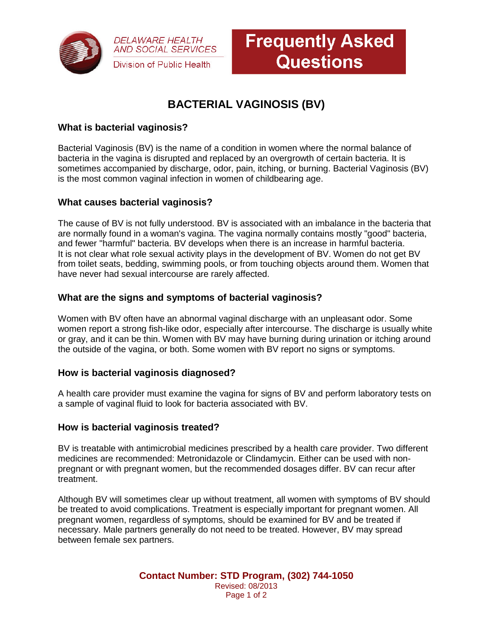

**DELAWARE HEALTH AND SOCIAL SERVICES** Division of Public Health

# **BACTERIAL VAGINOSIS (BV)**

## **What is bacterial vaginosis?**

Bacterial Vaginosis (BV) is the name of a condition in women where the normal balance of bacteria in the vagina is disrupted and replaced by an overgrowth of certain bacteria. It is sometimes accompanied by discharge, odor, pain, itching, or burning. Bacterial Vaginosis (BV) is the most common vaginal infection in women of childbearing age.

## **What causes bacterial vaginosis?**

The cause of BV is not fully understood. BV is associated with an imbalance in the bacteria that are normally found in a woman's vagina. The vagina normally contains mostly "good" bacteria, and fewer "harmful" bacteria. BV develops when there is an increase in harmful bacteria. It is not clear what role sexual activity plays in the development of BV. Women do not get BV from toilet seats, bedding, swimming pools, or from touching objects around them. Women that have never had sexual intercourse are rarely affected.

## **What are the signs and symptoms of bacterial vaginosis?**

Women with BV often have an abnormal vaginal discharge with an unpleasant odor. Some women report a strong fish-like odor, especially after intercourse. The discharge is usually white or gray, and it can be thin. Women with BV may have burning during urination or itching around the outside of the vagina, or both. Some women with BV report no signs or symptoms.

### **How is bacterial vaginosis diagnosed?**

A health care provider must examine the vagina for signs of BV and perform laboratory tests on a sample of vaginal fluid to look for bacteria associated with BV.

### **How is bacterial vaginosis treated?**

BV is treatable with antimicrobial medicines prescribed by a health care provider. Two different medicines are recommended: Metronidazole or Clindamycin. Either can be used with nonpregnant or with pregnant women, but the recommended dosages differ. BV can recur after treatment.

Although BV will sometimes clear up without treatment, all women with symptoms of BV should be treated to avoid complications. Treatment is especially important for pregnant women. All pregnant women, regardless of symptoms, should be examined for BV and be treated if necessary. Male partners generally do not need to be treated. However, BV may spread between female sex partners.

> **Contact Number: STD Program, (302) 744-1050** Revised: 08/2013 Page 1 of 2